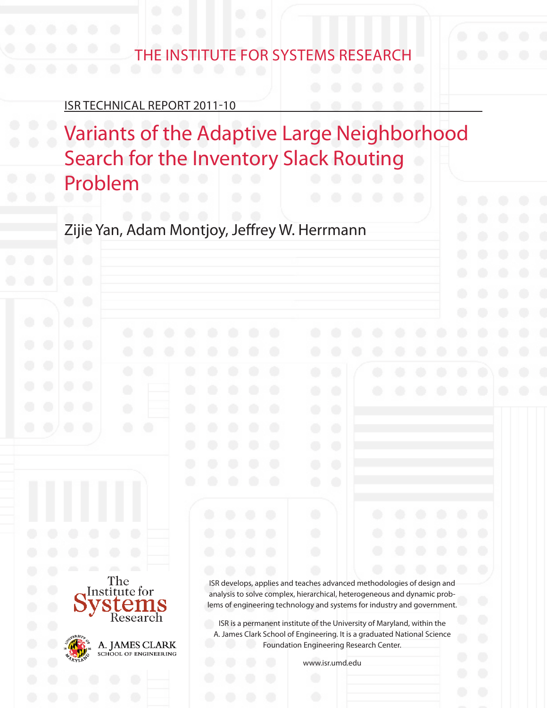# THE INSTITUTE FOR SYSTEMS RESEARCH

#### ISR TECHNICAL REPORT 2011-10

The Institute for

Research

A. JAMES CLARK SCHOOL OF ENGINEERING

Variants of the Adaptive Large Neighborhood Search for the Inventory Slack Routing Problem

Zijie Yan, Adam Montjoy, Jeffrey W. Herrmann

ISR develops, applies and teaches advanced methodologies of design and analysis to solve complex, hierarchical, heterogeneous and dynamic problems of engineering technology and systems for industry and government.

ISR is a permanent institute of the University of Maryland, within the A. James Clark School of Engineering. It is a graduated National Science Foundation Engineering Research Center.

www.isr.umd.edu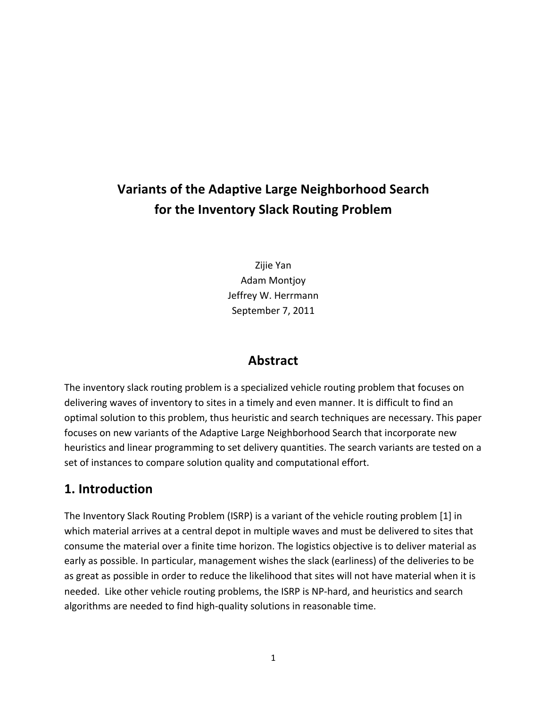## **Variants!of!the!Adaptive!Large!Neighborhood!Search for the Inventory Slack Routing Problem**

Zijie Yan **Adam Montjoy** Jeffrey W. Herrmann September 7, 2011

#### **Abstract**

The inventory slack routing problem is a specialized vehicle routing problem that focuses on delivering waves of inventory to sites in a timely and even manner. It is difficult to find an optimal solution to this problem, thus heuristic and search techniques are necessary. This paper focuses on new variants of the Adaptive Large Neighborhood Search that incorporate new heuristics and linear programming to set delivery quantities. The search variants are tested on a set of instances to compare solution quality and computational effort.

#### **1. Introduction**

The Inventory Slack Routing Problem (ISRP) is a variant of the vehicle routing problem [1] in which material arrives at a central depot in multiple waves and must be delivered to sites that consume the material over a finite time horizon. The logistics objective is to deliver material as early as possible. In particular, management wishes the slack (earliness) of the deliveries to be as great as possible in order to reduce the likelihood that sites will not have material when it is needed. Like other vehicle routing problems, the ISRP is NP-hard, and heuristics and search algorithms are needed to find high-quality solutions in reasonable time.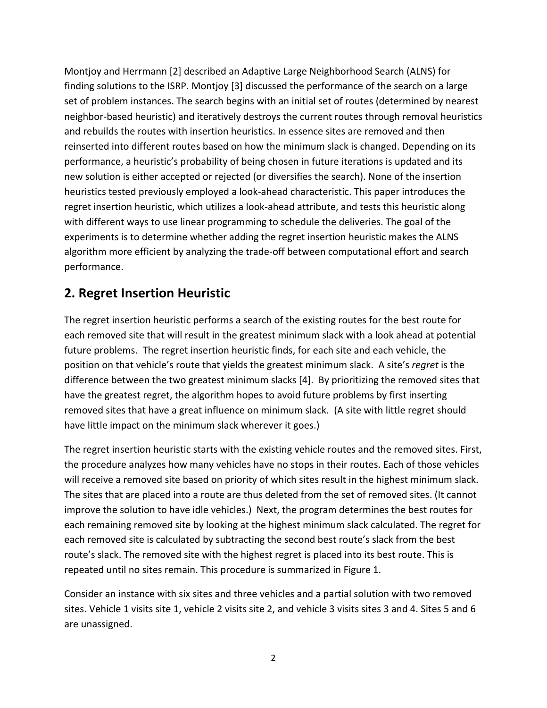Montjoy and Herrmann [2] described an Adaptive Large Neighborhood Search (ALNS) for finding solutions to the ISRP. Montjoy [3] discussed the performance of the search on a large set of problem instances. The search begins with an initial set of routes (determined by nearest neighbor-based heuristic) and iteratively destroys the current routes through removal heuristics and rebuilds the routes with insertion heuristics. In essence sites are removed and then reinserted into different routes based on how the minimum slack is changed. Depending on its performance, a heuristic's probability of being chosen in future iterations is updated and its new solution is either accepted or rejected (or diversifies the search). None of the insertion heuristics tested previously employed a look-ahead characteristic. This paper introduces the regret insertion heuristic, which utilizes a look-ahead attribute, and tests this heuristic along with different ways to use linear programming to schedule the deliveries. The goal of the experiments is to determine whether adding the regret insertion heuristic makes the ALNS algorithm more efficient by analyzing the trade-off between computational effort and search performance.

## **2. Regret Insertion Heuristic**

The regret insertion heuristic performs a search of the existing routes for the best route for each removed site that will result in the greatest minimum slack with a look ahead at potential future problems. The regret insertion heuristic finds, for each site and each vehicle, the position on that vehicle's route that yields the greatest minimum slack. A site's *regret* is the difference between the two greatest minimum slacks [4]. By prioritizing the removed sites that have the greatest regret, the algorithm hopes to avoid future problems by first inserting removed sites that have a great influence on minimum slack. (A site with little regret should have little impact on the minimum slack wherever it goes.)

The regret insertion heuristic starts with the existing vehicle routes and the removed sites. First, the procedure analyzes how many vehicles have no stops in their routes. Each of those vehicles will receive a removed site based on priority of which sites result in the highest minimum slack. The sites that are placed into a route are thus deleted from the set of removed sites. (It cannot improve the solution to have idle vehicles.) Next, the program determines the best routes for each remaining removed site by looking at the highest minimum slack calculated. The regret for each removed site is calculated by subtracting the second best route's slack from the best route's slack. The removed site with the highest regret is placed into its best route. This is repeated until no sites remain. This procedure is summarized in Figure 1.

Consider an instance with six sites and three vehicles and a partial solution with two removed sites. Vehicle 1 visits site 1, vehicle 2 visits site 2, and vehicle 3 visits sites 3 and 4. Sites 5 and 6 are unassigned.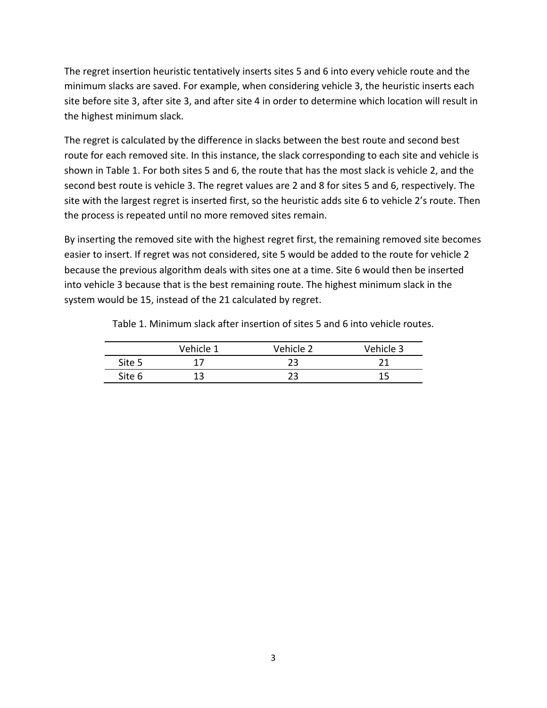The regret insertion heuristic tentatively inserts sites 5 and 6 into every vehicle route and the minimum slacks are saved. For example, when considering vehicle 3, the heuristic inserts each site before site 3, after site 3, and after site 4 in order to determine which location will result in the highest minimum slack.

The regret is calculated by the difference in slacks between the best route and second best route for each removed site. In this instance, the slack corresponding to each site and vehicle is shown in Table 1. For both sites 5 and 6, the route that has the most slack is vehicle 2, and the second best route is vehicle 3. The regret values are 2 and 8 for sites 5 and 6, respectively. The site with the largest regret is inserted first, so the heuristic adds site 6 to vehicle 2's route. Then the process is repeated until no more removed sites remain.

By inserting the removed site with the highest regret first, the remaining removed site becomes easier to insert. If regret was not considered, site 5 would be added to the route for vehicle 2 because the previous algorithm deals with sites one at a time. Site 6 would then be inserted into vehicle 3 because that is the best remaining route. The highest minimum slack in the system would be 15, instead of the 21 calculated by regret.

|        | Vehicle 1 | Vehicle 2 | Vehicle 3 |
|--------|-----------|-----------|-----------|
| Site 5 |           |           |           |
| Site 6 |           |           |           |

Table 1. Minimum slack after insertion of sites 5 and 6 into vehicle routes.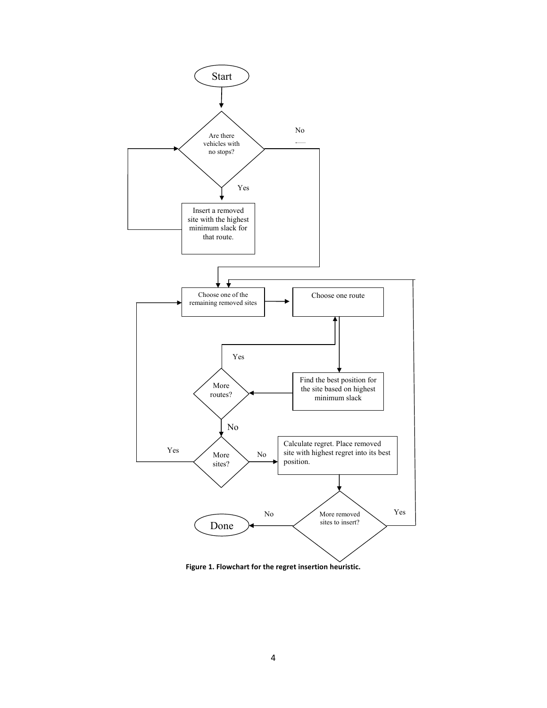

Figure 1. Flowchart for the regret insertion heuristic.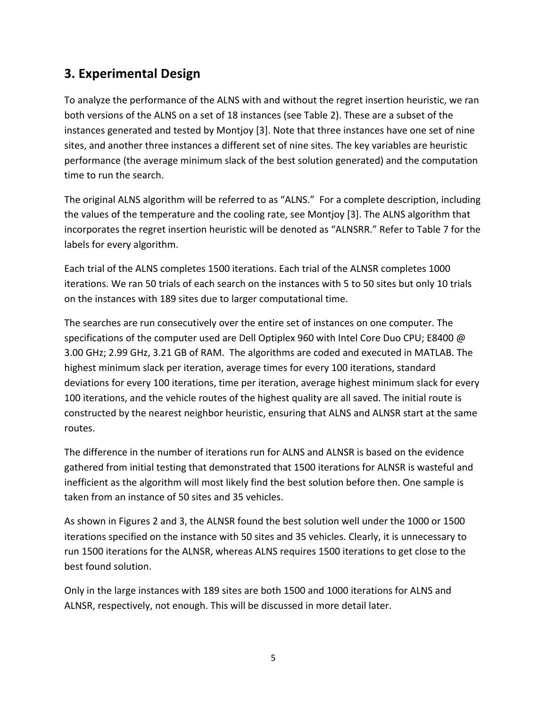## **3. Experimental Design**

To analyze the performance of the ALNS with and without the regret insertion heuristic, we ran both versions of the ALNS on a set of 18 instances (see Table 2). These are a subset of the instances generated and tested by Montjoy [3]. Note that three instances have one set of nine sites, and another three instances a different set of nine sites. The key variables are heuristic performance (the average minimum slack of the best solution generated) and the computation time to run the search.

The original ALNS algorithm will be referred to as "ALNS." For a complete description, including the values of the temperature and the cooling rate, see Montjoy [3]. The ALNS algorithm that incorporates the regret insertion heuristic will be denoted as "ALNSRR." Refer to Table 7 for the labels for every algorithm.

Each trial of the ALNS completes 1500 iterations. Each trial of the ALNSR completes 1000 iterations. We ran 50 trials of each search on the instances with 5 to 50 sites but only 10 trials on the instances with 189 sites due to larger computational time.

The searches are run consecutively over the entire set of instances on one computer. The specifications of the computer used are Dell Optiplex 960 with Intel Core Duo CPU; E8400 @ 3.00 GHz; 2.99 GHz, 3.21 GB of RAM. The algorithms are coded and executed in MATLAB. The highest minimum slack per iteration, average times for every 100 iterations, standard deviations for every 100 iterations, time per iteration, average highest minimum slack for every 100 iterations, and the vehicle routes of the highest quality are all saved. The initial route is constructed by the nearest neighbor heuristic, ensuring that ALNS and ALNSR start at the same routes.

The difference in the number of iterations run for ALNS and ALNSR is based on the evidence gathered from initial testing that demonstrated that 1500 iterations for ALNSR is wasteful and inefficient as the algorithm will most likely find the best solution before then. One sample is taken from an instance of 50 sites and 35 vehicles.

As shown in Figures 2 and 3, the ALNSR found the best solution well under the 1000 or 1500 iterations specified on the instance with 50 sites and 35 vehicles. Clearly, it is unnecessary to run 1500 iterations for the ALNSR, whereas ALNS requires 1500 iterations to get close to the best found solution.

Only in the large instances with 189 sites are both 1500 and 1000 iterations for ALNS and ALNSR, respectively, not enough. This will be discussed in more detail later.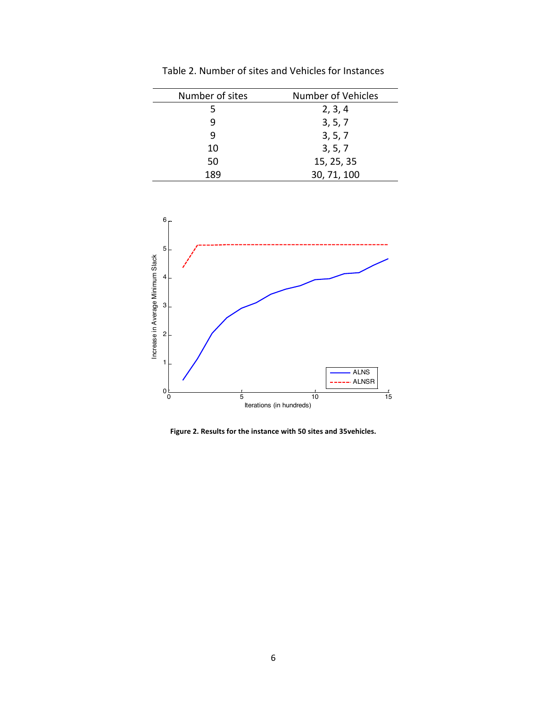| Number of sites | Number of Vehicles |  |  |  |
|-----------------|--------------------|--|--|--|
| 5               | 2, 3, 4            |  |  |  |
|                 | 3, 5, 7            |  |  |  |
| q               | 3, 5, 7            |  |  |  |
| 10              | 3, 5, 7            |  |  |  |
| 50              | 15, 25, 35         |  |  |  |
| 189             | 30, 71, 100        |  |  |  |

Table 2. Number of sites and Vehicles for Instances



Figure 2. Results for the instance with 50 sites and 35vehicles.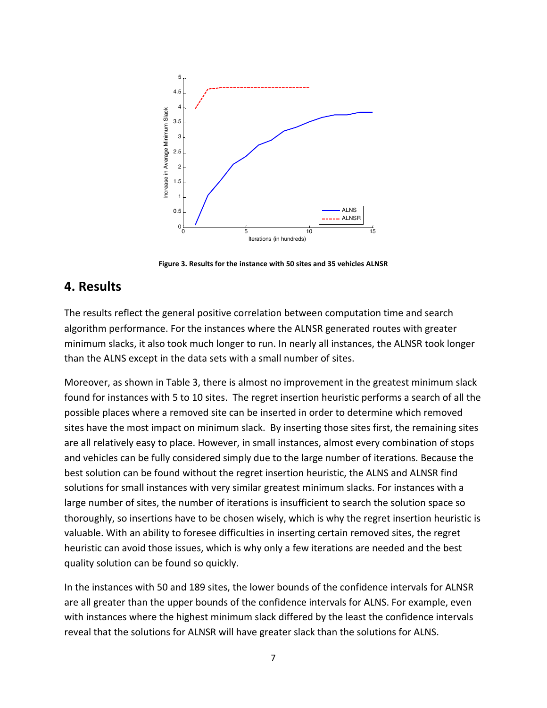

Figure 3. Results for the instance with 50 sites and 35 vehicles ALNSR

#### **4.!Results**

The results reflect the general positive correlation between computation time and search algorithm performance. For the instances where the ALNSR generated routes with greater minimum slacks, it also took much longer to run. In nearly all instances, the ALNSR took longer than the ALNS except in the data sets with a small number of sites.

Moreover, as shown in Table 3, there is almost no improvement in the greatest minimum slack found for instances with 5 to 10 sites. The regret insertion heuristic performs a search of all the possible places where a removed site can be inserted in order to determine which removed sites have the most impact on minimum slack. By inserting those sites first, the remaining sites are all relatively easy to place. However, in small instances, almost every combination of stops and vehicles can be fully considered simply due to the large number of iterations. Because the best solution can be found without the regret insertion heuristic, the ALNS and ALNSR find solutions for small instances with very similar greatest minimum slacks. For instances with a large number of sites, the number of iterations is insufficient to search the solution space so thoroughly, so insertions have to be chosen wisely, which is why the regret insertion heuristic is valuable. With an ability to foresee difficulties in inserting certain removed sites, the regret heuristic can avoid those issues, which is why only a few iterations are needed and the best quality solution can be found so quickly.

In the instances with 50 and 189 sites, the lower bounds of the confidence intervals for ALNSR are all greater than the upper bounds of the confidence intervals for ALNS. For example, even with instances where the highest minimum slack differed by the least the confidence intervals reveal that the solutions for ALNSR will have greater slack than the solutions for ALNS.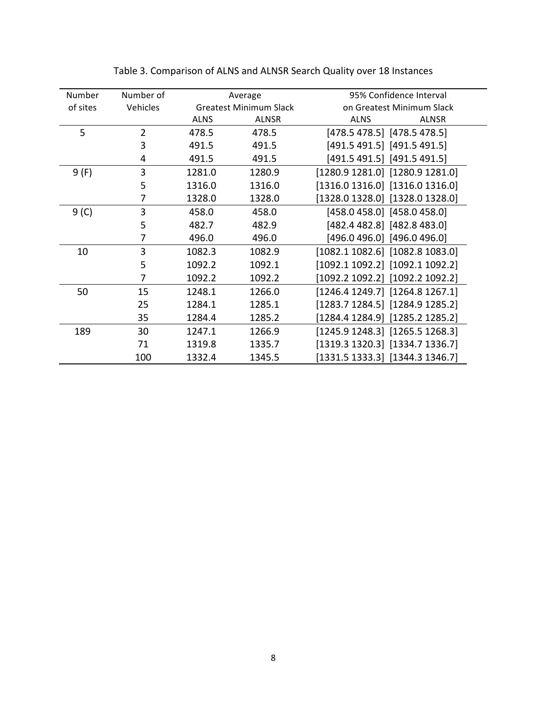| Number   | Number of      |             | Average                       | 95% Confidence Interval             |  |
|----------|----------------|-------------|-------------------------------|-------------------------------------|--|
| of sites | Vehicles       |             | <b>Greatest Minimum Slack</b> | on Greatest Minimum Slack           |  |
|          |                | <b>ALNS</b> | <b>ALNSR</b>                  | <b>ALNS</b><br><b>ALNSR</b>         |  |
| 5        | $\overline{2}$ | 478.5       | 478.5                         | [478.5 478.5] [478.5 478.5]         |  |
|          | 3              | 491.5       | 491.5                         | [491.5 491.5] [491.5 491.5]         |  |
|          | 4              | 491.5       | 491.5                         | [491.5 491.5] [491.5 491.5]         |  |
| 9(F)     | 3              | 1281.0      | 1280.9                        | [1280.9 1281.0] [1280.9 1281.0]     |  |
|          | 5              | 1316.0      | 1316.0                        | $[1316.0 1316.0]$ $[1316.0 1316.0]$ |  |
|          | 7              | 1328.0      | 1328.0                        | $[1328.0 1328.0]$ $[1328.0 1328.0]$ |  |
| 9(0)     | 3              | 458.0       | 458.0                         | [458.0 458.0] [458.0 458.0]         |  |
|          | 5              | 482.7       | 482.9                         | [482.4 482.8] [482.8 483.0]         |  |
|          | 7              | 496.0       | 496.0                         | [496.0 496.0] [496.0 496.0]         |  |
| 10       | 3              | 1082.3      | 1082.9                        | $[1082.1 1082.6]$ $[1082.8 1083.0]$ |  |
|          | 5              | 1092.2      | 1092.1                        | $[1092.1 1092.2]$ $[1092.1 1092.2]$ |  |
|          | 7              | 1092.2      | 1092.2                        | [1092.2 1092.2] [1092.2 1092.2]     |  |
| 50       | 15             | 1248.1      | 1266.0                        | $[1246.4 1249.7]$ $[1264.8 1267.1]$ |  |
|          | 25             | 1284.1      | 1285.1                        | $[1283.7 1284.5]$ $[1284.9 1285.2]$ |  |
|          | 35             | 1284.4      | 1285.2                        | [1284.4 1284.9] [1285.2 1285.2]     |  |
| 189      | 30             | 1247.1      | 1266.9                        | [1245.9 1248.3] [1265.5 1268.3]     |  |
|          | 71             | 1319.8      | 1335.7                        | $[1319.3 1320.3]$ $[1334.7 1336.7]$ |  |
|          | 100            | 1332.4      | 1345.5                        | $[1331.5 1333.3]$ [1344.3 1346.7]   |  |

Table 3. Comparison of ALNS and ALNSR Search Quality over 18 Instances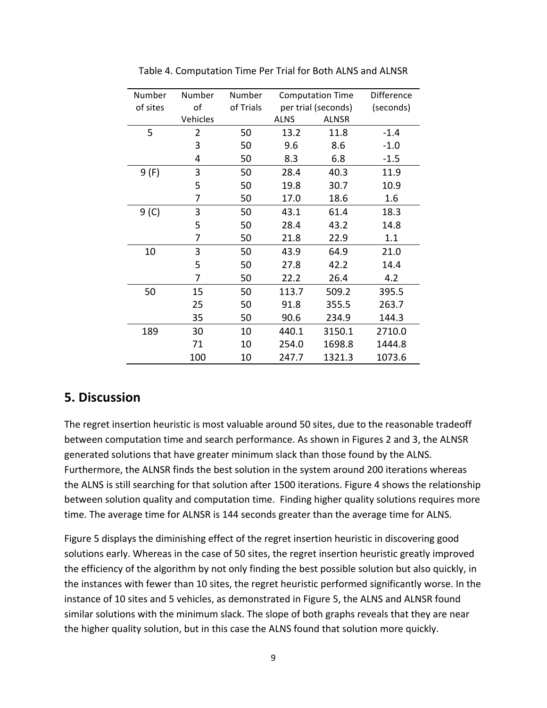| Number   | Number   | Number    |                     | <b>Computation Time</b> | Difference |
|----------|----------|-----------|---------------------|-------------------------|------------|
| of sites | of       | of Trials | per trial (seconds) |                         | (seconds)  |
|          | Vehicles |           | <b>ALNS</b>         | <b>ALNSR</b>            |            |
| 5        | 2        | 50        | 13.2                | 11.8                    | $-1.4$     |
|          | 3        | 50        | 9.6                 | 8.6                     | $-1.0$     |
|          | 4        | 50        | 8.3                 | 6.8                     | $-1.5$     |
| 9 (F)    | 3        | 50        | 28.4                | 40.3                    | 11.9       |
|          | 5        | 50        | 19.8                | 30.7                    | 10.9       |
|          | 7        | 50        | 17.0                | 18.6                    | 1.6        |
| 9(C)     | 3        | 50        | 43.1                | 61.4                    | 18.3       |
|          | 5        | 50        | 28.4                | 43.2                    | 14.8       |
|          | 7        | 50        | 21.8                | 22.9                    | 1.1        |
| 10       | 3        | 50        | 43.9                | 64.9                    | 21.0       |
|          | 5        | 50        | 27.8                | 42.2                    | 14.4       |
|          | 7        | 50        | 22.2                | 26.4                    | 4.2        |
| 50       | 15       | 50        | 113.7               | 509.2                   | 395.5      |
|          | 25       | 50        | 91.8                | 355.5                   | 263.7      |
|          | 35       | 50        | 90.6                | 234.9                   | 144.3      |
| 189      | 30       | 10        | 440.1               | 3150.1                  | 2710.0     |
|          | 71       | 10        | 254.0               | 1698.8                  | 1444.8     |
|          | 100      | 10        | 247.7               | 1321.3                  | 1073.6     |

Table 4. Computation Time Per Trial for Both ALNS and ALNSR

#### **5.!Discussion**

The regret insertion heuristic is most valuable around 50 sites, due to the reasonable tradeoff between computation time and search performance. As shown in Figures 2 and 3, the ALNSR generated solutions that have greater minimum slack than those found by the ALNS. Furthermore, the ALNSR finds the best solution in the system around 200 iterations whereas the ALNS is still searching for that solution after 1500 iterations. Figure 4 shows the relationship between solution quality and computation time. Finding higher quality solutions requires more time. The average time for ALNSR is 144 seconds greater than the average time for ALNS.

Figure 5 displays the diminishing effect of the regret insertion heuristic in discovering good solutions early. Whereas in the case of 50 sites, the regret insertion heuristic greatly improved the efficiency of the algorithm by not only finding the best possible solution but also quickly, in the instances with fewer than 10 sites, the regret heuristic performed significantly worse. In the instance of 10 sites and 5 vehicles, as demonstrated in Figure 5, the ALNS and ALNSR found similar solutions with the minimum slack. The slope of both graphs reveals that they are near the higher quality solution, but in this case the ALNS found that solution more quickly.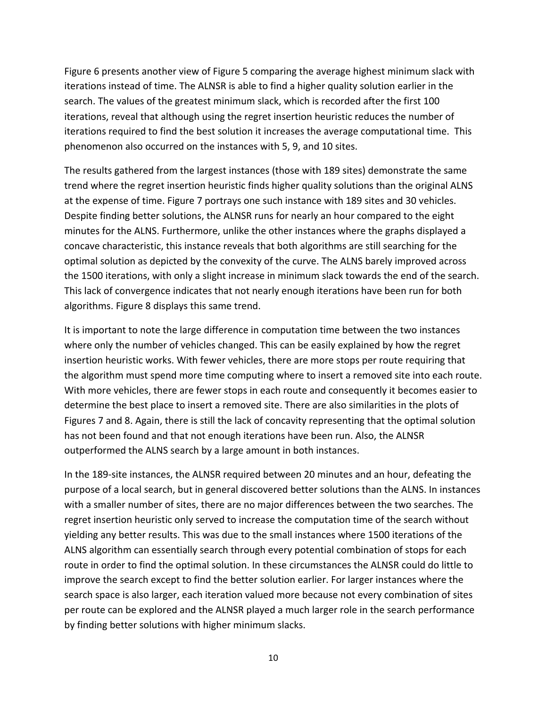Figure 6 presents another view of Figure 5 comparing the average highest minimum slack with iterations instead of time. The ALNSR is able to find a higher quality solution earlier in the search. The values of the greatest minimum slack, which is recorded after the first 100 iterations, reveal that although using the regret insertion heuristic reduces the number of iterations required to find the best solution it increases the average computational time. This phenomenon also occurred on the instances with 5, 9, and 10 sites.

The results gathered from the largest instances (those with 189 sites) demonstrate the same trend where the regret insertion heuristic finds higher quality solutions than the original ALNS at the expense of time. Figure 7 portrays one such instance with 189 sites and 30 vehicles. Despite finding better solutions, the ALNSR runs for nearly an hour compared to the eight minutes for the ALNS. Furthermore, unlike the other instances where the graphs displayed a concave characteristic, this instance reveals that both algorithms are still searching for the optimal solution as depicted by the convexity of the curve. The ALNS barely improved across the 1500 iterations, with only a slight increase in minimum slack towards the end of the search. This lack of convergence indicates that not nearly enough iterations have been run for both algorithms. Figure 8 displays this same trend.

It is important to note the large difference in computation time between the two instances where only the number of vehicles changed. This can be easily explained by how the regret insertion heuristic works. With fewer vehicles, there are more stops per route requiring that the algorithm must spend more time computing where to insert a removed site into each route. With more vehicles, there are fewer stops in each route and consequently it becomes easier to determine the best place to insert a removed site. There are also similarities in the plots of Figures 7 and 8. Again, there is still the lack of concavity representing that the optimal solution has not been found and that not enough iterations have been run. Also, the ALNSR outperformed the ALNS search by a large amount in both instances.

In the 189-site instances, the ALNSR required between 20 minutes and an hour, defeating the purpose of a local search, but in general discovered better solutions than the ALNS. In instances with a smaller number of sites, there are no major differences between the two searches. The regret insertion heuristic only served to increase the computation time of the search without yielding any better results. This was due to the small instances where 1500 iterations of the ALNS algorithm can essentially search through every potential combination of stops for each route in order to find the optimal solution. In these circumstances the ALNSR could do little to improve the search except to find the better solution earlier. For larger instances where the search space is also larger, each iteration valued more because not every combination of sites per route can be explored and the ALNSR played a much larger role in the search performance by finding better solutions with higher minimum slacks.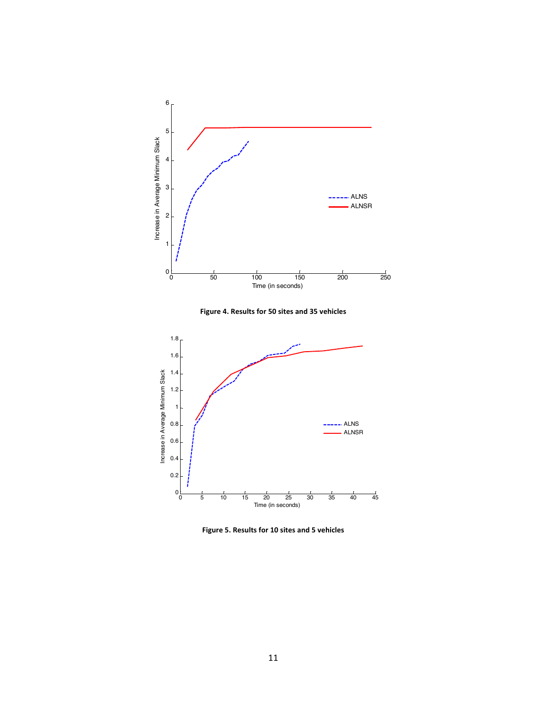

Figure 4. Results for 50 sites and 35 vehicles



Figure 5. Results for 10 sites and 5 vehicles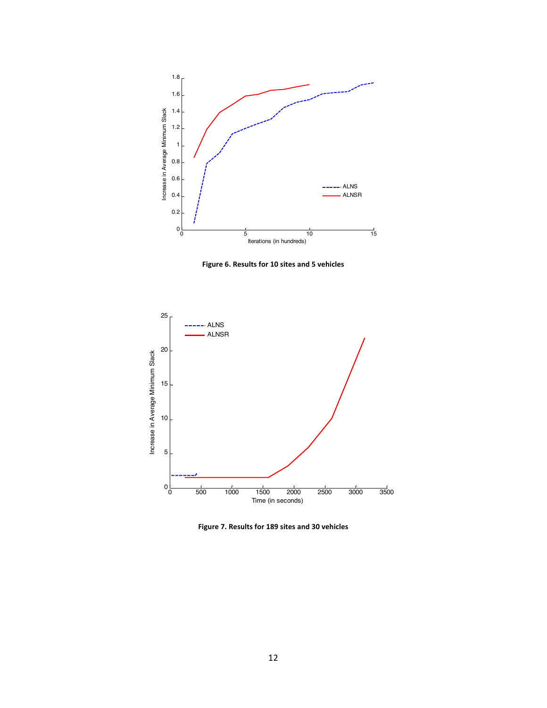

Figure 6. Results for 10 sites and 5 vehicles



Figure 7. Results for 189 sites and 30 vehicles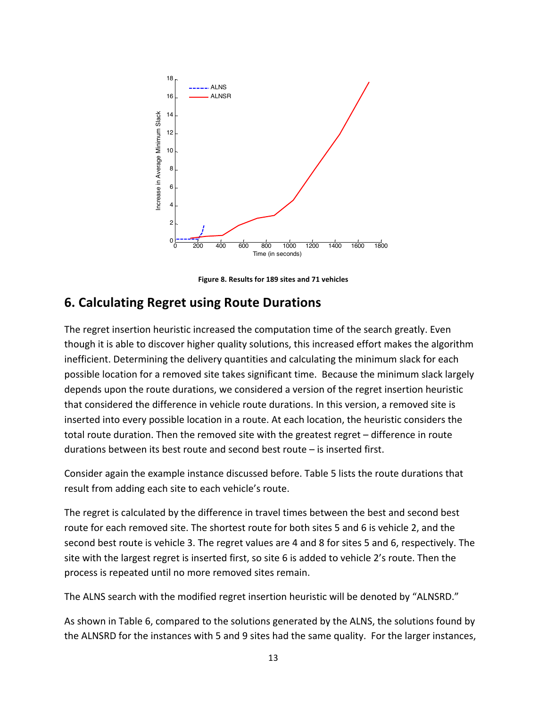

Figure 8. Results for 189 sites and 71 vehicles

#### **6. Calculating Regret using Route Durations**

The regret insertion heuristic increased the computation time of the search greatly. Even though it is able to discover higher quality solutions, this increased effort makes the algorithm inefficient. Determining the delivery quantities and calculating the minimum slack for each possible location for a removed site takes significant time. Because the minimum slack largely depends upon the route durations, we considered a version of the regret insertion heuristic that considered the difference in vehicle route durations. In this version, a removed site is inserted into every possible location in a route. At each location, the heuristic considers the total route duration. Then the removed site with the greatest regret – difference in route durations between its best route and second best route  $-$  is inserted first.

Consider again the example instance discussed before. Table 5 lists the route durations that result from adding each site to each vehicle's route.

The regret is calculated by the difference in travel times between the best and second best route for each removed site. The shortest route for both sites 5 and 6 is vehicle 2, and the second best route is vehicle 3. The regret values are 4 and 8 for sites 5 and 6, respectively. The site with the largest regret is inserted first, so site 6 is added to vehicle 2's route. Then the process is repeated until no more removed sites remain.

The ALNS search with the modified regret insertion heuristic will be denoted by "ALNSRD."

As shown in Table 6, compared to the solutions generated by the ALNS, the solutions found by the ALNSRD for the instances with 5 and 9 sites had the same quality. For the larger instances,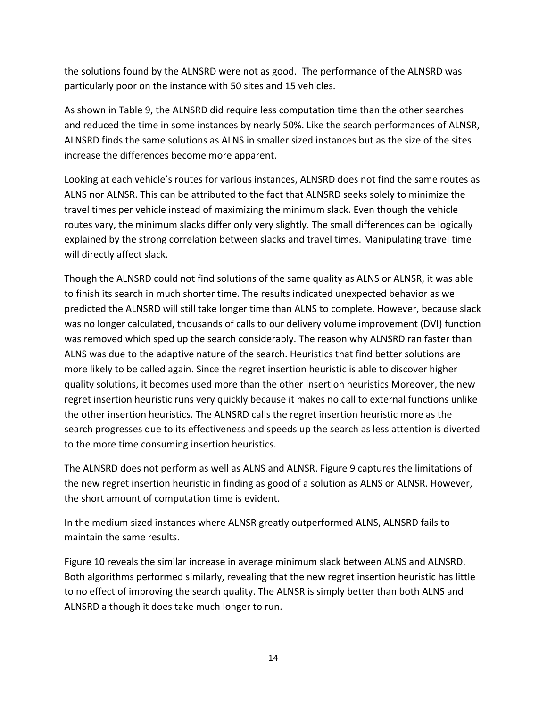the solutions found by the ALNSRD were not as good. The performance of the ALNSRD was particularly poor on the instance with 50 sites and 15 vehicles.

As shown in Table 9, the ALNSRD did require less computation time than the other searches and reduced the time in some instances by nearly 50%. Like the search performances of ALNSR, ALNSRD finds the same solutions as ALNS in smaller sized instances but as the size of the sites increase the differences become more apparent.

Looking at each vehicle's routes for various instances, ALNSRD does not find the same routes as ALNS nor ALNSR. This can be attributed to the fact that ALNSRD seeks solely to minimize the travel times per vehicle instead of maximizing the minimum slack. Even though the vehicle routes vary, the minimum slacks differ only very slightly. The small differences can be logically explained by the strong correlation between slacks and travel times. Manipulating travel time will directly affect slack.

Though the ALNSRD could not find solutions of the same quality as ALNS or ALNSR, it was able to finish its search in much shorter time. The results indicated unexpected behavior as we predicted the ALNSRD will still take longer time than ALNS to complete. However, because slack was no longer calculated, thousands of calls to our delivery volume improvement (DVI) function was removed which sped up the search considerably. The reason why ALNSRD ran faster than ALNS was due to the adaptive nature of the search. Heuristics that find better solutions are more likely to be called again. Since the regret insertion heuristic is able to discover higher quality solutions, it becomes used more than the other insertion heuristics Moreover, the new regret insertion heuristic runs very quickly because it makes no call to external functions unlike the other insertion heuristics. The ALNSRD calls the regret insertion heuristic more as the search progresses due to its effectiveness and speeds up the search as less attention is diverted to the more time consuming insertion heuristics.

The ALNSRD does not perform as well as ALNS and ALNSR. Figure 9 captures the limitations of the new regret insertion heuristic in finding as good of a solution as ALNS or ALNSR. However, the short amount of computation time is evident.

In the medium sized instances where ALNSR greatly outperformed ALNS, ALNSRD fails to maintain the same results.

Figure 10 reveals the similar increase in average minimum slack between ALNS and ALNSRD. Both algorithms performed similarly, revealing that the new regret insertion heuristic has little to no effect of improving the search quality. The ALNSR is simply better than both ALNS and ALNSRD although it does take much longer to run.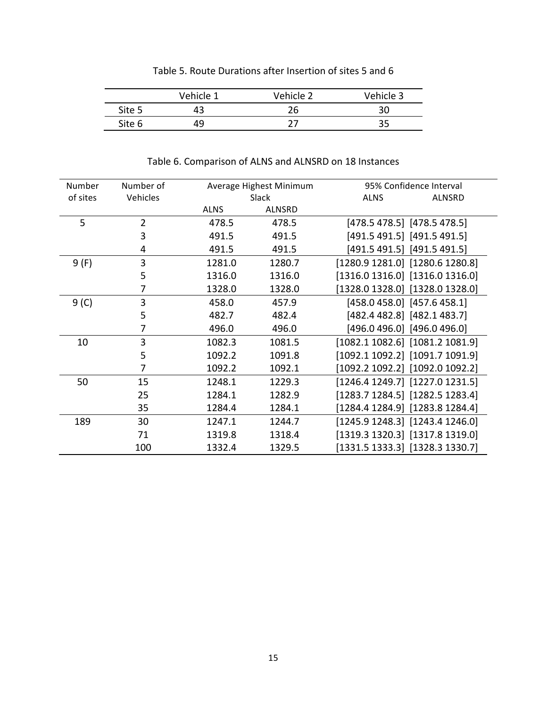|        | Vehicle 1 | Vehicle 2 | Vehicle 3 |
|--------|-----------|-----------|-----------|
| Site 5 |           | 26        | 30        |
| Site 6 |           |           | 35        |

#### Table 5. Route Durations after Insertion of sites 5 and 6

| Number   | Number of |             | Average Highest Minimum | 95% Confidence Interval             |  |  |
|----------|-----------|-------------|-------------------------|-------------------------------------|--|--|
| of sites | Vehicles  |             | Slack                   | <b>ALNS</b><br>ALNSRD               |  |  |
|          |           | <b>ALNS</b> | <b>ALNSRD</b>           |                                     |  |  |
| 5        | 2         | 478.5       | 478.5                   | [478.5 478.5] [478.5 478.5]         |  |  |
|          | 3         | 491.5       | 491.5                   | $[491.5 491.5]$ $[491.5 491.5]$     |  |  |
|          | 4         | 491.5       | 491.5                   | $[491.5 491.5]$ [491.5 491.5]       |  |  |
| 9(F)     | 3         | 1281.0      | 1280.7                  | [1280.9 1281.0] [1280.6 1280.8]     |  |  |
|          | 5         | 1316.0      | 1316.0                  | $[1316.0 1316.0]$ $[1316.0 1316.0]$ |  |  |
|          | 7         | 1328.0      | 1328.0                  | [1328.0 1328.0] [1328.0 1328.0]     |  |  |
| 9(C)     | 3         | 458.0       | 457.9                   | $[458.0 458.0]$ [457.6 458.1]       |  |  |
|          | 5         | 482.7       | 482.4                   | [482.4 482.8] [482.1 483.7]         |  |  |
|          | 7         | 496.0       | 496.0                   | [496.0 496.0] [496.0 496.0]         |  |  |
| 10       | 3         | 1082.3      | 1081.5                  | $[1082.1 1082.6]$ $[1081.2 1081.9]$ |  |  |
|          | 5         | 1092.2      | 1091.8                  | $[1092.1 1092.2]$ $[1091.7 1091.9]$ |  |  |
|          | 7         | 1092.2      | 1092.1                  | [1092.2 1092.2] [1092.0 1092.2]     |  |  |
| 50       | 15        | 1248.1      | 1229.3                  | [1246.4 1249.7] [1227.0 1231.5]     |  |  |
|          | 25        | 1284.1      | 1282.9                  | $[1283.7 1284.5]$ $[1282.5 1283.4]$ |  |  |
|          | 35        | 1284.4      | 1284.1                  | [1284.4 1284.9] [1283.8 1284.4]     |  |  |
| 189      | 30        | 1247.1      | 1244.7                  | $[1245.9 1248.3]$ [1243.4 1246.0]   |  |  |
|          | 71        | 1319.8      | 1318.4                  | $[1319.3 1320.3]$ $[1317.8 1319.0]$ |  |  |
|          | 100       | 1332.4      | 1329.5                  | $[1331.5 1333.3]$ $[1328.3 1330.7]$ |  |  |

Table 6. Comparison of ALNS and ALNSRD on 18 Instances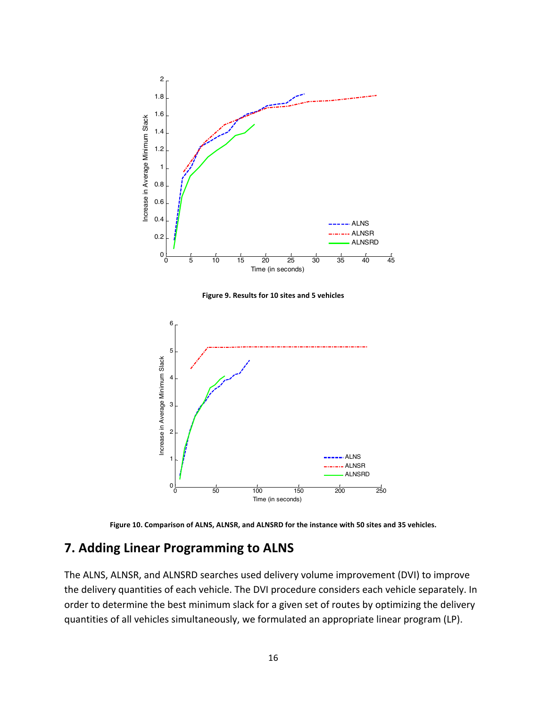



0 50 100 150 200 250

ALNS --- ALNSR ALNSRD

Time (in seconds)

#### **7. Adding Linear Programming to ALNS**

 $0\frac{L}{0}$ 

1

2

The ALNS, ALNSR, and ALNSRD searches used delivery volume improvement (DVI) to improve the delivery quantities of each vehicle. The DVI procedure considers each vehicle separately. In order to determine the best minimum slack for a given set of routes by optimizing the delivery quantities of all vehicles simultaneously, we formulated an appropriate linear program (LP).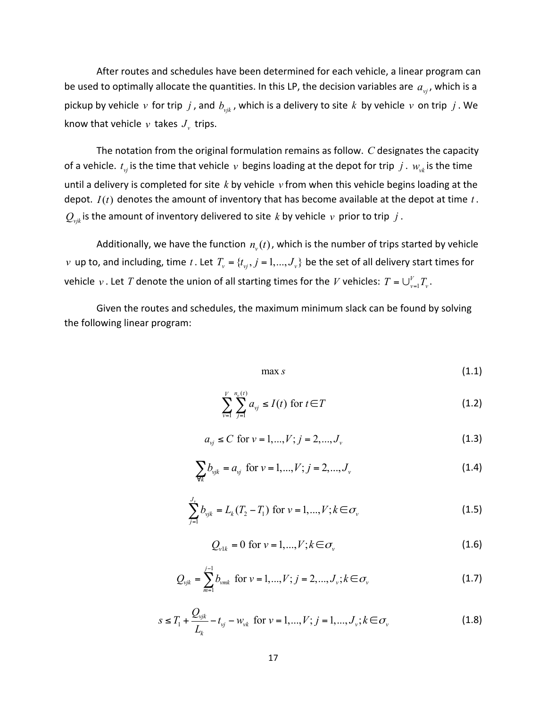After routes and schedules have been determined for each vehicle, a linear program can be used to optimally allocate the quantities. In this LP, the decision variables are  $a_{\rm vi}$ , which is a pickup by vehicle  $v$  for trip  $j$ , and  $b_{vik}$ , which is a delivery to site  $k$  by vehicle  $v$  on trip  $j$ . We know that vehicle  $v$  takes  $J_v$  trips.

The notation from the original formulation remains as follow. *C* designates the capacity of a vehicle.  $t_{\rm vt}$  is the time that vehicle  $v$  begins loading at the depot for trip  $j$  .  $w_{\rm vt}$  is the time until a delivery is completed for site  $k$  by vehicle  $v$  from when this vehicle begins loading at the depot.  $I(t)$  denotes the amount of inventory that has become available at the depot at time  $t$ .  $Q_{\text{vik}}$  is the amount of inventory delivered to site *k* by vehicle *v* prior to trip *j* .

Additionally, we have the function  $n<sub>v</sub>(t)$ , which is the number of trips started by vehicle *v* up to, and including, time *t*. Let  $T_v = \{t_v, j = 1, ..., J_v\}$  be the set of all delivery start times for vehicle  $v$  . Let  $T$  denote the union of all starting times for the  $V$  vehicles:  $T = \bigcup_{v=1}^{V} T_{v}$  .

Given the routes and schedules, the maximum minimum slack can be found by solving the following linear program:

$$
\max s \tag{1.1}
$$

$$
\sum_{\nu=1}^{V} \sum_{j=1}^{n_{\nu}(t)} a_{\nu j} \le I(t) \text{ for } t \in T
$$
 (1.2)

$$
a_{\nu j} \le C \text{ for } \nu = 1, ..., V; j = 2, ..., J_{\nu}
$$
\n(1.3)

$$
\sum_{\forall k} b_{\text{vjk}} = a_{\text{vj}} \text{ for } \nu = 1, ..., V; j = 2, ..., J_{\nu}
$$
 (1.4)

$$
\sum_{j=1}^{J_{\nu}} b_{\nu j k} = L_k (T_2 - T_1) \text{ for } \nu = 1, ..., V; k \in \sigma_{\nu}
$$
 (1.5)

$$
Q_{\nu 1k} = 0 \text{ for } \nu = 1, \dots, V; k \in \sigma_{\nu}
$$
\n
$$
(1.6)
$$

$$
Q_{\text{vjk}} = \sum_{m=1}^{j-1} b_{\text{vmk}} \text{ for } \nu = 1, ..., V; j = 2, ..., J_{\nu}; k \in \sigma_{\nu}
$$
 (1.7)

$$
s \le T_1 + \frac{Q_{vik}}{L_k} - t_{vj} - w_{vk} \text{ for } v = 1, ..., V; j = 1, ..., J_v; k \in \sigma_v
$$
 (1.8)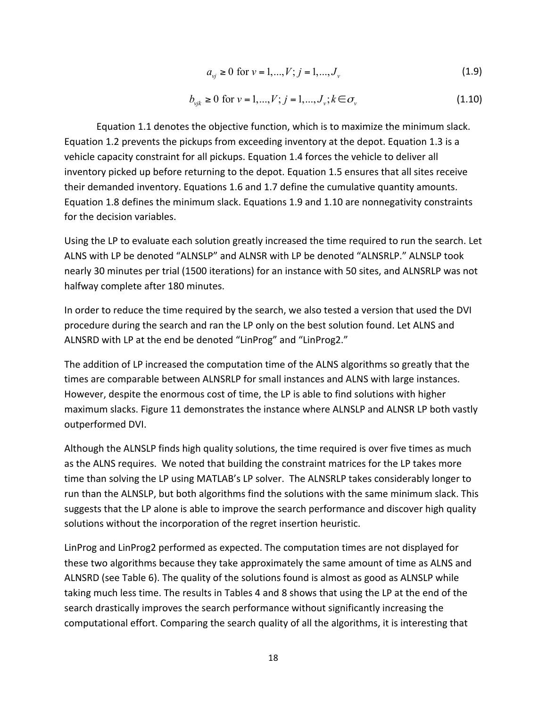$$
a_{\nu j} \ge 0 \text{ for } \nu = 1, \dots, V; j = 1, \dots, J_{\nu}
$$
\n(1.9)

$$
b_{\nu jk} \ge 0 \text{ for } \nu = 1, ..., V; j = 1, ..., J_{\nu}; k \in \sigma_{\nu}
$$
\n(1.10)

Equation 1.1 denotes the objective function, which is to maximize the minimum slack. Equation 1.2 prevents the pickups from exceeding inventory at the depot. Equation 1.3 is a vehicle capacity constraint for all pickups. Equation 1.4 forces the vehicle to deliver all inventory picked up before returning to the depot. Equation 1.5 ensures that all sites receive their demanded inventory. Equations 1.6 and 1.7 define the cumulative quantity amounts. Equation 1.8 defines the minimum slack. Equations 1.9 and 1.10 are nonnegativity constraints for the decision variables.

Using the LP to evaluate each solution greatly increased the time required to run the search. Let ALNS with LP be denoted "ALNSLP" and ALNSR with LP be denoted "ALNSRLP." ALNSLP took nearly 30 minutes per trial (1500 iterations) for an instance with 50 sites, and ALNSRLP was not halfway complete after 180 minutes.

In order to reduce the time required by the search, we also tested a version that used the DVI procedure during the search and ran the LP only on the best solution found. Let ALNS and ALNSRD with LP at the end be denoted "LinProg" and "LinProg2."

The addition of LP increased the computation time of the ALNS algorithms so greatly that the times are comparable between ALNSRLP for small instances and ALNS with large instances. However, despite the enormous cost of time, the LP is able to find solutions with higher maximum slacks. Figure 11 demonstrates the instance where ALNSLP and ALNSR LP both vastly outperformed DVI.

Although the ALNSLP finds high quality solutions, the time required is over five times as much as the ALNS requires. We noted that building the constraint matrices for the LP takes more time than solving the LP using MATLAB's LP solver. The ALNSRLP takes considerably longer to run than the ALNSLP, but both algorithms find the solutions with the same minimum slack. This suggests that the LP alone is able to improve the search performance and discover high quality solutions without the incorporation of the regret insertion heuristic.

LinProg and LinProg2 performed as expected. The computation times are not displayed for these two algorithms because they take approximately the same amount of time as ALNS and ALNSRD (see Table 6). The quality of the solutions found is almost as good as ALNSLP while taking much less time. The results in Tables 4 and 8 shows that using the LP at the end of the search drastically improves the search performance without significantly increasing the computational effort. Comparing the search quality of all the algorithms, it is interesting that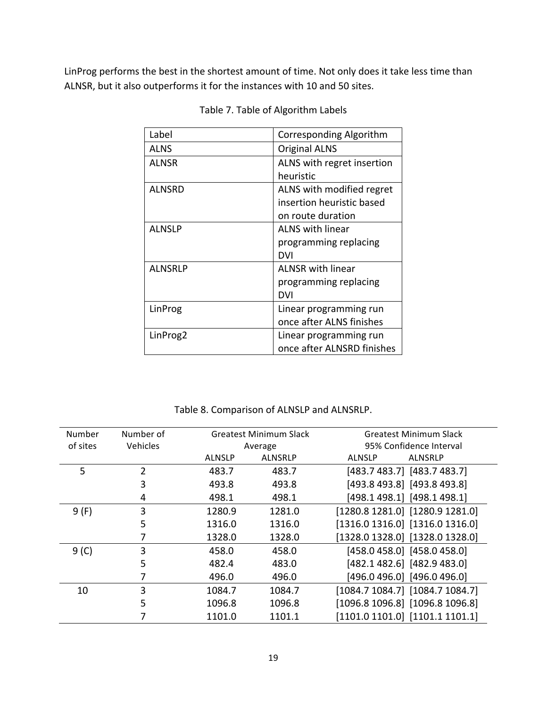LinProg performs the best in the shortest amount of time. Not only does it take less time than ALNSR, but it also outperforms it for the instances with 10 and 50 sites.

| Label          | Corresponding Algorithm    |
|----------------|----------------------------|
| <b>ALNS</b>    | <b>Original ALNS</b>       |
| ALNSR          | ALNS with regret insertion |
|                | heuristic                  |
| ALNSRD         | ALNS with modified regret  |
|                | insertion heuristic based  |
|                | on route duration          |
| ALNSLP         | <b>ALNS with linear</b>    |
|                | programming replacing      |
|                | DVI                        |
| <b>ALNSRLP</b> | <b>ALNSR</b> with linear   |
|                | programming replacing      |
|                | DVI                        |
| LinProg        | Linear programming run     |
|                | once after ALNS finishes   |
| LinProg2       | Linear programming run     |
|                | once after ALNSRD finishes |

Table 7. Table of Algorithm Labels

Table 8. Comparison of ALNSLP and ALNSRLP.

| Number   | Number of | Greatest Minimum Slack |                | Greatest Minimum Slack              |
|----------|-----------|------------------------|----------------|-------------------------------------|
| of sites | Vehicles  |                        | Average        | 95% Confidence Interval             |
|          |           | <b>ALNSLP</b>          | <b>ALNSRLP</b> | ALNSRLP<br>ALNSLP                   |
| 5        | 2         | 483.7                  | 483.7          | [483.7 483.7] [483.7 483.7]         |
|          | 3         | 493.8                  | 493.8          | [493.8 493.8] [493.8 493.8]         |
|          | 4         | 498.1                  | 498.1          | [498.1 498.1] [498.1 498.1]         |
| 9(F)     | 3         | 1280.9                 | 1281.0         | $[1280.8 1281.0]$ $[1280.9 1281.0]$ |
|          | 5         | 1316.0                 | 1316.0         | $[1316.0 1316.0]$ $[1316.0 1316.0]$ |
|          |           | 1328.0                 | 1328.0         | [1328.0 1328.0] [1328.0 1328.0]     |
| $9($ C   | 3         | 458.0                  | 458.0          | [458.0 458.0] [458.0 458.0]         |
|          | 5         | 482.4                  | 483.0          | [482.1 482.6] [482.9 483.0]         |
|          | 7         | 496.0                  | 496.0          | [496.0 496.0] [496.0 496.0]         |
| 10       | 3         | 1084.7                 | 1084.7         | [1084.7 1084.7] [1084.7 1084.7]     |
|          | 5         | 1096.8                 | 1096.8         | [1096.8 1096.8] [1096.8 1096.8]     |
|          |           | 1101.0                 | 1101.1         | $[1101.0 1101.0]$ $[1101.1 1101.1]$ |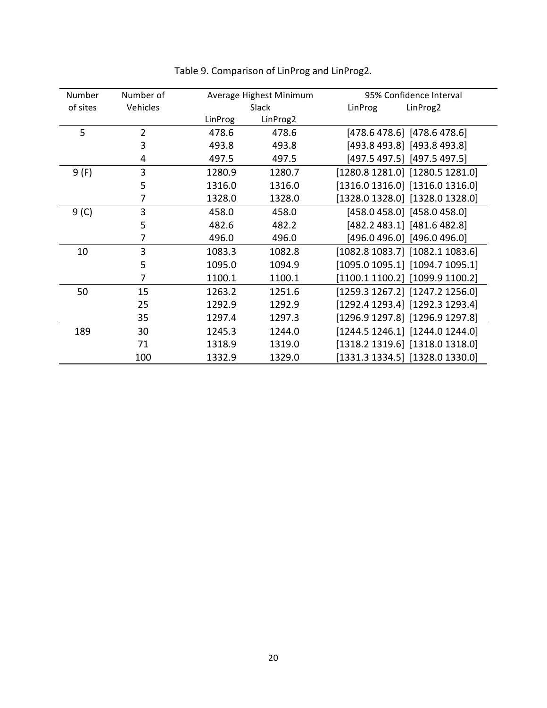| Number   | Number of      |         | Average Highest Minimum |         | 95% Confidence Interval             |
|----------|----------------|---------|-------------------------|---------|-------------------------------------|
| of sites | Vehicles       |         | Slack                   | LinProg | LinProg2                            |
|          |                | LinProg | LinProg2                |         |                                     |
| 5        | $\overline{2}$ | 478.6   | 478.6                   |         | $[478.6 478.6]$ [478.6 478.6]       |
|          | 3              | 493.8   | 493.8                   |         | [493.8 493.8] [493.8 493.8]         |
|          | 4              | 497.5   | 497.5                   |         | [497.5 497.5] [497.5 497.5]         |
| 9(F)     | 3              | 1280.9  | 1280.7                  |         | $[1280.8 1281.0]$ $[1280.5 1281.0]$ |
|          | 5              | 1316.0  | 1316.0                  |         | $[1316.0 1316.0]$ $[1316.0 1316.0]$ |
|          | 7              | 1328.0  | 1328.0                  |         | $[1328.0 1328.0]$ $[1328.0 1328.0]$ |
| 9(0)     | 3              | 458.0   | 458.0                   |         | $[458.0 458.0]$ $[458.0 458.0]$     |
|          | 5              | 482.6   | 482.2                   |         | [482.2 483.1] [481.6 482.8]         |
|          | 7              | 496.0   | 496.0                   |         | [496.0 496.0] [496.0 496.0]         |
| 10       | 3              | 1083.3  | 1082.8                  |         | $[1082.8 1083.7]$ $[1082.1 1083.6]$ |
|          | 5              | 1095.0  | 1094.9                  |         | $[1095.0 1095.1]$ $[1094.7 1095.1]$ |
|          | 7              | 1100.1  | 1100.1                  |         | [1100.1 1100.2] [1099.9 1100.2]     |
| 50       | 15             | 1263.2  | 1251.6                  |         | $[1259.3 1267.2]$ $[1247.2 1256.0]$ |
|          | 25             | 1292.9  | 1292.9                  |         | [1292.4 1293.4] [1292.3 1293.4]     |
|          | 35             | 1297.4  | 1297.3                  |         | [1296.9 1297.8] [1296.9 1297.8]     |
| 189      | 30             | 1245.3  | 1244.0                  |         | [1244.5 1246.1] [1244.0 1244.0]     |
|          | 71             | 1318.9  | 1319.0                  |         | $[1318.2 1319.6]$ $[1318.0 1318.0]$ |
|          | 100            | 1332.9  | 1329.0                  |         | $[1331.3 1334.5]$ [1328.0 1330.0]   |

Table 9. Comparison of LinProg and LinProg2.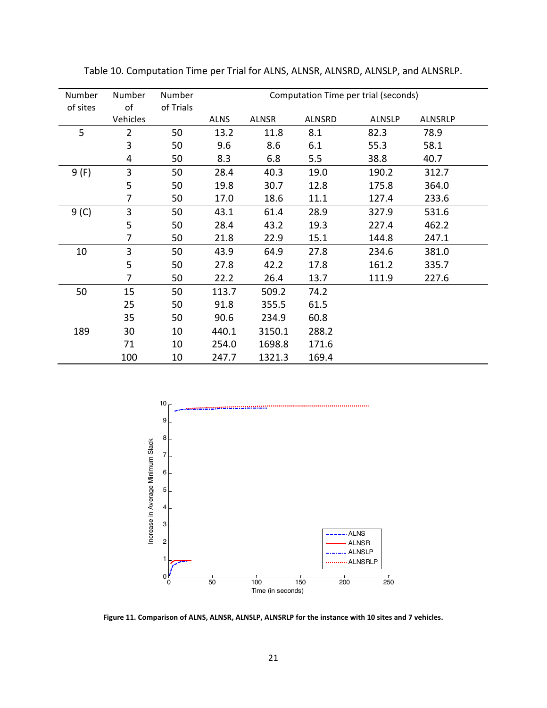| Number   | Number         | Number    | Computation Time per trial (seconds) |              |               |               |                |
|----------|----------------|-----------|--------------------------------------|--------------|---------------|---------------|----------------|
| of sites | of             | of Trials |                                      |              |               |               |                |
|          | Vehicles       |           | <b>ALNS</b>                          | <b>ALNSR</b> | <b>ALNSRD</b> | <b>ALNSLP</b> | <b>ALNSRLP</b> |
| 5        | $\overline{2}$ | 50        | 13.2                                 | 11.8         | 8.1           | 82.3          | 78.9           |
|          | 3              | 50        | 9.6                                  | 8.6          | 6.1           | 55.3          | 58.1           |
|          | 4              | 50        | 8.3                                  | 6.8          | 5.5           | 38.8          | 40.7           |
| 9 (F)    | 3              | 50        | 28.4                                 | 40.3         | 19.0          | 190.2         | 312.7          |
|          | 5              | 50        | 19.8                                 | 30.7         | 12.8          | 175.8         | 364.0          |
|          | 7              | 50        | 17.0                                 | 18.6         | 11.1          | 127.4         | 233.6          |
| 9(0)     | 3              | 50        | 43.1                                 | 61.4         | 28.9          | 327.9         | 531.6          |
|          | 5              | 50        | 28.4                                 | 43.2         | 19.3          | 227.4         | 462.2          |
|          | 7              | 50        | 21.8                                 | 22.9         | 15.1          | 144.8         | 247.1          |
| 10       | 3              | 50        | 43.9                                 | 64.9         | 27.8          | 234.6         | 381.0          |
|          | 5              | 50        | 27.8                                 | 42.2         | 17.8          | 161.2         | 335.7          |
|          | 7              | 50        | 22.2                                 | 26.4         | 13.7          | 111.9         | 227.6          |
| 50       | 15             | 50        | 113.7                                | 509.2        | 74.2          |               |                |
|          | 25             | 50        | 91.8                                 | 355.5        | 61.5          |               |                |
|          | 35             | 50        | 90.6                                 | 234.9        | 60.8          |               |                |
| 189      | 30             | 10        | 440.1                                | 3150.1       | 288.2         |               |                |
|          | 71             | 10        | 254.0                                | 1698.8       | 171.6         |               |                |
|          | 100            | 10        | 247.7                                | 1321.3       | 169.4         |               |                |

Table 10. Computation Time per Trial for ALNS, ALNSR, ALNSRD, ALNSLP, and ALNSRLP.



Figure 11. Comparison of ALNS, ALNSR, ALNSLP, ALNSRLP for the instance with 10 sites and 7 vehicles.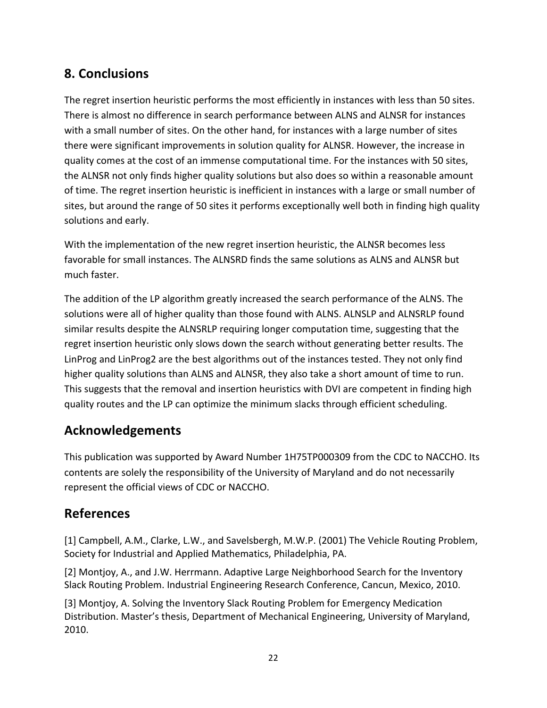## **8.!Conclusions**

The regret insertion heuristic performs the most efficiently in instances with less than 50 sites. There is almost no difference in search performance between ALNS and ALNSR for instances with a small number of sites. On the other hand, for instances with a large number of sites there were significant improvements in solution quality for ALNSR. However, the increase in quality comes at the cost of an immense computational time. For the instances with 50 sites, the ALNSR not only finds higher quality solutions but also does so within a reasonable amount of time. The regret insertion heuristic is inefficient in instances with a large or small number of sites, but around the range of 50 sites it performs exceptionally well both in finding high quality solutions and early.

With the implementation of the new regret insertion heuristic, the ALNSR becomes less favorable for small instances. The ALNSRD finds the same solutions as ALNS and ALNSR but much faster.

The addition of the LP algorithm greatly increased the search performance of the ALNS. The solutions were all of higher quality than those found with ALNS. ALNSLP and ALNSRLP found similar results despite the ALNSRLP requiring longer computation time, suggesting that the regret insertion heuristic only slows down the search without generating better results. The LinProg and LinProg2 are the best algorithms out of the instances tested. They not only find higher quality solutions than ALNS and ALNSR, they also take a short amount of time to run. This suggests that the removal and insertion heuristics with DVI are competent in finding high quality routes and the LP can optimize the minimum slacks through efficient scheduling.

## **Acknowledgements**

This publication was supported by Award Number 1H75TP000309 from the CDC to NACCHO. Its contents are solely the responsibility of the University of Maryland and do not necessarily represent the official views of CDC or NACCHO.

## **References**

[1] Campbell, A.M., Clarke, L.W., and Savelsbergh, M.W.P. (2001) The Vehicle Routing Problem, Society for Industrial and Applied Mathematics, Philadelphia, PA.

[2] Montjoy, A., and J.W. Herrmann. Adaptive Large Neighborhood Search for the Inventory Slack Routing Problem. Industrial Engineering Research Conference, Cancun, Mexico, 2010.

[3] Montjoy, A. Solving the Inventory Slack Routing Problem for Emergency Medication Distribution. Master's thesis, Department of Mechanical Engineering, University of Maryland, 2010.